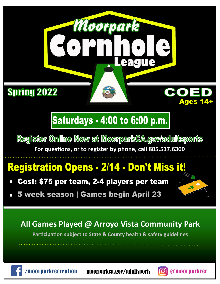### **Spring 2022**

## **Saturdays - 4:00 to 6:00 p.m.**

Moorpark

Leag

Register Online Now at MoorparkCA.gov/adultsports **For questions, or to register by phone, call 805.517.6300**

## **Registration Opens - 2/14 - Don't Miss it!**

- Cost: \$75 per team, 2-4 players per team
- 5 week season | Games begin April 23

### **All Games Played @ Arroyo Vista Community Park**

**Participation subject to State & County health & safety guidelines**





**Ages 14+**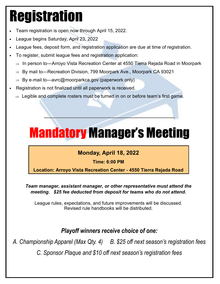# Registration

- Team registration is open now through April 15, 2022.
- League begins Saturday, April 23, 2022
- League fees, deposit form, and registration application are due at time of registration.
- To register, submit league fees and registration application:
	- $\Rightarrow$  In person to—Arroyo Vista Recreation Center at 4550 Tierra Rejada Road in Moorpark
	- $\Rightarrow$  By mail to—Recreation Division, 799 Moorpark Ave., Moorpark CA 93021
	- $\Rightarrow$  By e-mail to—avrc@moorparkca.gov (paperwork only)
- Registration is not finalized until all paperwork is received.
	- $\Rightarrow$  Legible and complete rosters must be turned in on or before team's first game.

## Mandatory Manager's Meeting

#### **Monday, April 18, 2022**

**Time: 6:00 PM** 

**Location: Arroyo Vista Recreation Center - 4550 Tierra Rejada Road** 

*Team manager, assistant manager, or other representative must attend the meeting. \$25 fee deducted from deposit for teams who do not attend.*

League rules, expectations, and future improvements will be discussed. Revised rule handbooks will be distributed.

*Playoff winners receive choice of one:*

*A. Championship Apparel (Max Qty. 4) B. \$25 off next season's registration fees* 

*C. Sponsor Plaque and \$10 off next season's registration fees*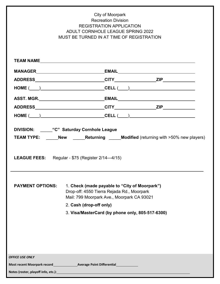|                                                                                                                                       | City of Moorpark<br><b>Recreation Division</b><br><b>REGISTRATION APPLICATION</b><br><b>ADULT CORNHOLE LEAGUE SPRING 2022</b><br>MUST BE TURNED IN AT TIME OF REGISTRATION |  |  |  |  |
|---------------------------------------------------------------------------------------------------------------------------------------|----------------------------------------------------------------------------------------------------------------------------------------------------------------------------|--|--|--|--|
|                                                                                                                                       |                                                                                                                                                                            |  |  |  |  |
|                                                                                                                                       |                                                                                                                                                                            |  |  |  |  |
|                                                                                                                                       |                                                                                                                                                                            |  |  |  |  |
|                                                                                                                                       | $HOME (\_\_)$                                                                                                                                                              |  |  |  |  |
|                                                                                                                                       |                                                                                                                                                                            |  |  |  |  |
|                                                                                                                                       |                                                                                                                                                                            |  |  |  |  |
|                                                                                                                                       | $HOME (\_\_)$                                                                                                                                                              |  |  |  |  |
| <b>TEAM TYPE:</b> New <b>Returning Modified</b> (returning with >50% new players)<br>LEAGUE FEES: Regular - \$75 (Register 2/14-4/15) |                                                                                                                                                                            |  |  |  |  |
| <b>PAYMENT OPTIONS:</b>                                                                                                               | 1. Check (made payable to "City of Moorpark")<br>Drop-off: 4550 Tierra Rejada Rd., Moorpark<br>Mail: 799 Moorpark Ave., Moorpark CA 93021                                  |  |  |  |  |
|                                                                                                                                       | 2. Cash (drop-off only)                                                                                                                                                    |  |  |  |  |
| 3. Visa/MasterCard (by phone only, 805-517-6300)                                                                                      |                                                                                                                                                                            |  |  |  |  |
|                                                                                                                                       |                                                                                                                                                                            |  |  |  |  |
| <b>OFFICE USE ONLY</b>                                                                                                                |                                                                                                                                                                            |  |  |  |  |
| Notes (roster, playoff info, etc.): Notes (roster, playoff info, etc.):                                                               |                                                                                                                                                                            |  |  |  |  |